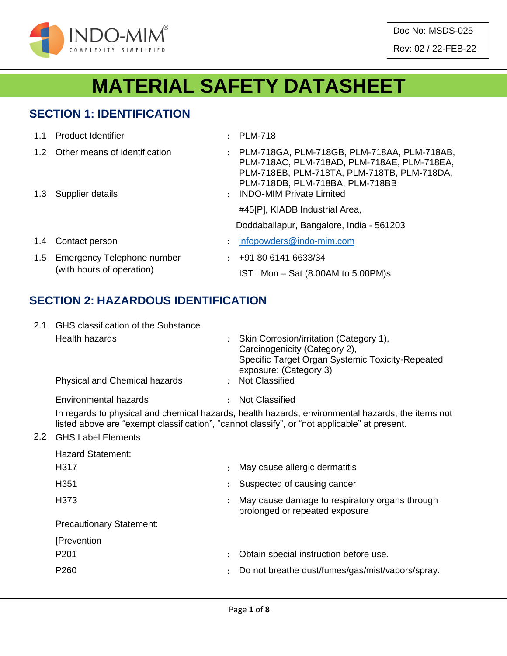

Doc No: MSDS-025 Rev: 02 / 22-FEB-22

# **MATERIAL SAFETY DATASHEET**

## **SECTION 1: IDENTIFICATION**

| 1.1           | <b>Product Identifier</b>                                 | $\ddot{\cdot}$                               | <b>PLM-718</b>                                                                                                                                                                                                  |
|---------------|-----------------------------------------------------------|----------------------------------------------|-----------------------------------------------------------------------------------------------------------------------------------------------------------------------------------------------------------------|
|               | 1.2 Other means of identification<br>1.3 Supplier details | $\ddot{\phantom{a}}$<br>$\ddot{\phantom{a}}$ | PLM-718GA, PLM-718GB, PLM-718AA, PLM-718AB,<br>PLM-718AC, PLM-718AD, PLM-718AE, PLM-718EA,<br>PLM-718EB, PLM-718TA, PLM-718TB, PLM-718DA,<br>PLM-718DB, PLM-718BA, PLM-718BB<br><b>INDO-MIM Private Limited</b> |
|               |                                                           |                                              | #45[P], KIADB Industrial Area,<br>Doddaballapur, Bangalore, India - 561203                                                                                                                                      |
| $1.4^{\circ}$ | Contact person                                            | ÷                                            | infopowders@indo-mim.com                                                                                                                                                                                        |
| 1.5           | Emergency Telephone number<br>(with hours of operation)   | $\mathcal{L}$                                | +91 80 6141 6633/34<br>$IST: Mon - Sat (8.00AM to 5.00PM)s$                                                                                                                                                     |

## **SECTION 2: HAZARDOUS IDENTIFICATION**

| 2.1 | GHS classification of the Substance  |  |                                                                                                                                                                                                   |  |  |  |
|-----|--------------------------------------|--|---------------------------------------------------------------------------------------------------------------------------------------------------------------------------------------------------|--|--|--|
|     | Health hazards                       |  | : Skin Corrosion/irritation (Category 1),<br>Carcinogenicity (Category 2),<br>Specific Target Organ Systemic Toxicity-Repeated<br>exposure: (Category 3)                                          |  |  |  |
|     | <b>Physical and Chemical hazards</b> |  | : Not Classified                                                                                                                                                                                  |  |  |  |
|     | Environmental hazards                |  | <b>Not Classified</b>                                                                                                                                                                             |  |  |  |
|     |                                      |  | In regards to physical and chemical hazards, health hazards, environmental hazards, the items not<br>listed above are "exempt classification", "cannot classify", or "not applicable" at present. |  |  |  |

#### 2.2 GHS Label Elements

| ÷                               | May cause allergic dermatitis                                                    |  |  |
|---------------------------------|----------------------------------------------------------------------------------|--|--|
|                                 | Suspected of causing cancer                                                      |  |  |
| $\ddot{\phantom{0}}$            | May cause damage to respiratory organs through<br>prolonged or repeated exposure |  |  |
| <b>Precautionary Statement:</b> |                                                                                  |  |  |
|                                 |                                                                                  |  |  |
| $\mathbb{R}^{\mathbb{Z}}$       | Obtain special instruction before use.                                           |  |  |
| $\mathcal{L}$                   | Do not breathe dust/fumes/gas/mist/vapors/spray.                                 |  |  |
|                                 |                                                                                  |  |  |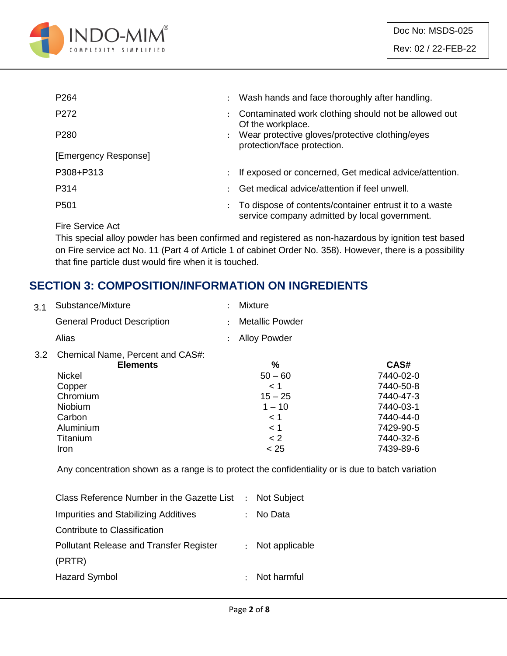

| P <sub>264</sub>     | $\ddot{\phantom{0}}$ | Wash hands and face thoroughly after handling.                                                          |
|----------------------|----------------------|---------------------------------------------------------------------------------------------------------|
| P272                 |                      | Contaminated work clothing should not be allowed out<br>Of the workplace.                               |
| P <sub>280</sub>     | $\ddot{\phantom{0}}$ | Wear protective gloves/protective clothing/eyes<br>protection/face protection.                          |
| [Emergency Response] |                      |                                                                                                         |
| P308+P313            | $\ddot{\phantom{0}}$ | If exposed or concerned, Get medical advice/attention.                                                  |
| P314                 |                      | Get medical advice/attention if feel unwell.                                                            |
| P <sub>501</sub>     |                      | To dispose of contents/container entrust it to a waste<br>service company admitted by local government. |

Fire Service Act

This special alloy powder has been confirmed and registered as non-hazardous by ignition test based on Fire service act No. 11 (Part 4 of Article 1 of cabinet Order No. 358). However, there is a possibility that fine particle dust would fire when it is touched.

## **SECTION 3: COMPOSITION/INFORMATION ON INGREDIENTS**

| Substance/Mixture                  | $\ddot{\phantom{a}}$ | <b>Mixture</b>         |           |
|------------------------------------|----------------------|------------------------|-----------|
| <b>General Product Description</b> | $\ddot{\phantom{a}}$ | <b>Metallic Powder</b> |           |
| Alias                              | $\ddot{\phantom{a}}$ | <b>Alloy Powder</b>    |           |
| Chemical Name, Percent and CAS#:   |                      |                        |           |
| <b>Elements</b>                    |                      | %                      | CAS#      |
| <b>Nickel</b>                      |                      | $50 - 60$              | 7440-02-0 |
| Copper                             |                      | < 1                    | 7440-50-8 |
| Chromium                           |                      | $15 - 25$              | 7440-47-3 |
| <b>Niobium</b>                     |                      | $1 - 10$               | 7440-03-1 |
| Carbon                             |                      | < 1                    | 7440-44-0 |
| Aluminium                          |                      | < 1                    | 7429-90-5 |
| Titanium                           |                      | < 2                    | 7440-32-6 |
| Iron                               |                      | < 25                   | 7439-89-6 |
|                                    |                      |                        |           |

Any concentration shown as a range is to protect the confidentiality or is due to batch variation

| Class Reference Number in the Gazette List : Not Subject |
|----------------------------------------------------------|
| - No Data                                                |
|                                                          |
| : Not applicable                                         |
|                                                          |
| : Not harmful                                            |
|                                                          |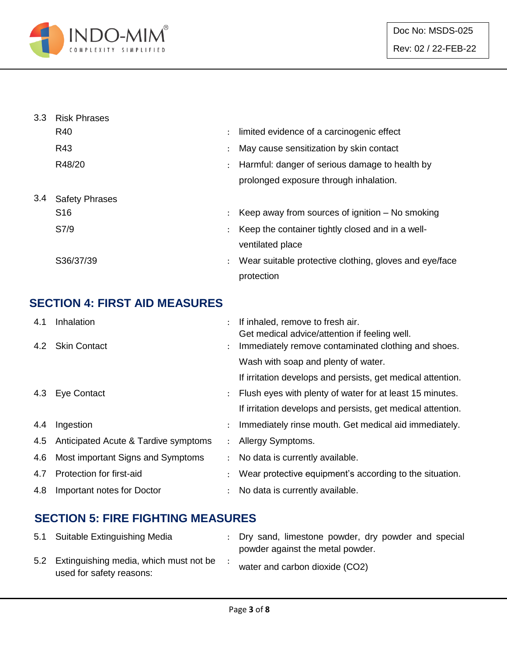

| 3.3 | <b>Risk Phrases</b>   |                |                                                        |
|-----|-----------------------|----------------|--------------------------------------------------------|
|     | R40                   | $\ddot{\cdot}$ | limited evidence of a carcinogenic effect              |
|     | R43                   | $\ddot{\cdot}$ | May cause sensitization by skin contact                |
|     | R48/20                | $\ddot{\cdot}$ | Harmful: danger of serious damage to health by         |
|     |                       |                | prolonged exposure through inhalation.                 |
| 3.4 | <b>Safety Phrases</b> |                |                                                        |
|     | S <sub>16</sub>       | $\ddot{\cdot}$ | Keep away from sources of ignition $-$ No smoking      |
|     | S7/9                  | $\ddot{\cdot}$ | Keep the container tightly closed and in a well-       |
|     |                       |                | ventilated place                                       |
|     | S36/37/39             | ÷              | Wear suitable protective clothing, gloves and eye/face |
|     |                       |                | protection                                             |

## **SECTION 4: FIRST AID MEASURES**

| 4.1 | Inhalation                           |                      | If inhaled, remove to fresh air.<br>Get medical advice/attention if feeling well. |
|-----|--------------------------------------|----------------------|-----------------------------------------------------------------------------------|
|     | 4.2 Skin Contact                     |                      | Immediately remove contaminated clothing and shoes.                               |
|     |                                      |                      | Wash with soap and plenty of water.                                               |
|     |                                      |                      | If irritation develops and persists, get medical attention.                       |
|     | 4.3 Eye Contact                      |                      | Flush eyes with plenty of water for at least 15 minutes.                          |
|     |                                      |                      | If irritation develops and persists, get medical attention.                       |
| 4.4 | Ingestion                            | $\ddot{\phantom{0}}$ | Immediately rinse mouth. Get medical aid immediately.                             |
| 4.5 | Anticipated Acute & Tardive symptoms |                      | Allergy Symptoms.                                                                 |
| 4.6 | Most important Signs and Symptoms    |                      | No data is currently available.                                                   |
| 4.7 | Protection for first-aid             |                      | Wear protective equipment's according to the situation.                           |
| 4.8 | Important notes for Doctor           |                      | No data is currently available.                                                   |

## **SECTION 5: FIRE FIGHTING MEASURES**

| 5.1 Suitable Extinguishing Media                                       | : Dry sand, limestone powder, dry powder and special<br>powder against the metal powder. |
|------------------------------------------------------------------------|------------------------------------------------------------------------------------------|
| 5.2 Extinguishing media, which must not be<br>used for safety reasons: | water and carbon dioxide (CO2)                                                           |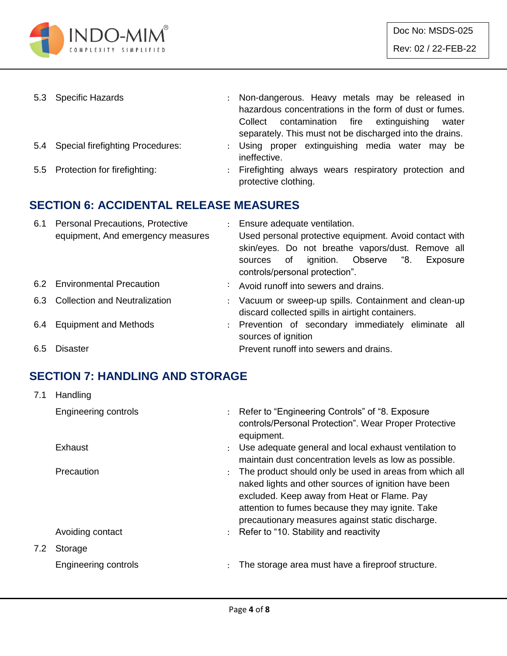

| 5.3 Specific Hazards                 | : Non-dangerous. Heavy metals may be released in<br>hazardous concentrations in the form of dust or fumes.<br>Collect contamination fire extinguishing<br>water<br>separately. This must not be discharged into the drains. |
|--------------------------------------|-----------------------------------------------------------------------------------------------------------------------------------------------------------------------------------------------------------------------------|
| 5.4 Special firefighting Procedures: | : Using proper extinguishing media water may be<br>ineffective.                                                                                                                                                             |
| 5.5 Protection for firefighting:     | : Firefighting always wears respiratory protection and<br>protective clothing.                                                                                                                                              |

## **SECTION 6: ACCIDENTAL RELEASE MEASURES**

| 6.1 | <b>Personal Precautions, Protective</b><br>equipment, And emergency measures | : Ensure adequate ventilation.<br>Used personal protective equipment. Avoid contact with<br>skin/eyes. Do not breathe vapors/dust. Remove all<br>sources of ignition. Observe "8.<br>Exposure<br>controls/personal protection". |
|-----|------------------------------------------------------------------------------|---------------------------------------------------------------------------------------------------------------------------------------------------------------------------------------------------------------------------------|
|     | 6.2 Environmental Precaution                                                 | : Avoid runoff into sewers and drains.                                                                                                                                                                                          |
|     | 6.3 Collection and Neutralization                                            | : Vacuum or sweep-up spills. Containment and clean-up<br>discard collected spills in airtight containers.                                                                                                                       |
| 6.4 | <b>Equipment and Methods</b>                                                 | : Prevention of secondary immediately eliminate all<br>sources of ignition                                                                                                                                                      |
| 6.5 | Disaster                                                                     | Prevent runoff into sewers and drains.                                                                                                                                                                                          |

## **SECTION 7: HANDLING AND STORAGE**

| 7.1 | Handling             |                      |                                                                                                                                                                                                                                                                        |
|-----|----------------------|----------------------|------------------------------------------------------------------------------------------------------------------------------------------------------------------------------------------------------------------------------------------------------------------------|
|     | Engineering controls |                      | : Refer to "Engineering Controls" of "8. Exposure<br>controls/Personal Protection". Wear Proper Protective<br>equipment.                                                                                                                                               |
|     | Exhaust              | $\ddot{\phantom{0}}$ | Use adequate general and local exhaust ventilation to<br>maintain dust concentration levels as low as possible.                                                                                                                                                        |
|     | <b>Precaution</b>    |                      | The product should only be used in areas from which all<br>naked lights and other sources of ignition have been<br>excluded. Keep away from Heat or Flame. Pay<br>attention to fumes because they may ignite. Take<br>precautionary measures against static discharge. |
|     | Avoiding contact     |                      | : Refer to "10. Stability and reactivity                                                                                                                                                                                                                               |
| 7.2 | Storage              |                      |                                                                                                                                                                                                                                                                        |
|     | Engineering controls | $\ddot{\phantom{a}}$ | The storage area must have a fireproof structure.                                                                                                                                                                                                                      |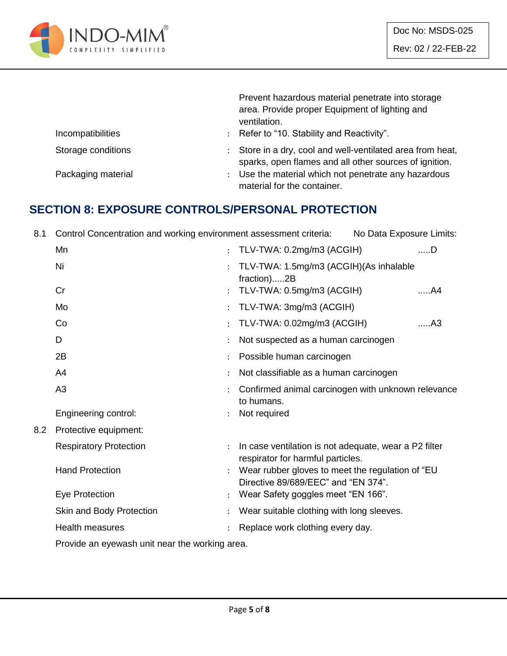

|                    | Prevent hazardous material penetrate into storage<br>area. Provide proper Equipment of lighting and<br>ventilation. |
|--------------------|---------------------------------------------------------------------------------------------------------------------|
| Incompatibilities  | : Refer to "10. Stability and Reactivity".                                                                          |
| Storage conditions | Store in a dry, cool and well-ventilated area from heat,<br>sparks, open flames and all other sources of ignition.  |
| Packaging material | Use the material which not penetrate any hazardous<br>$\ddot{\phantom{0}}$<br>material for the container.           |

#### **SECTION 8: EXPOSURE CONTROLS/PERSONAL PROTECTION**

8.1 Control Concentration and working environment assessment criteria: No Data Exposure Limits:

|     | Mn                                             | $\ddot{\phantom{0}}$ | TLV-TWA: 0.2mg/m3 (ACGIH)                                                                  | $$ D           |
|-----|------------------------------------------------|----------------------|--------------------------------------------------------------------------------------------|----------------|
|     | Ni                                             | $\cdot$              | TLV-TWA: 1.5mg/m3 (ACGIH)(As inhalable<br>fraction)2B                                      |                |
|     | Cr                                             | $\ddot{\phantom{a}}$ | TLV-TWA: 0.5mg/m3 (ACGIH)                                                                  | A4             |
|     | Mo                                             |                      | TLV-TWA: 3mg/m3 (ACGIH)                                                                    |                |
|     | Co                                             |                      | TLV-TWA: 0.02mg/m3 (ACGIH)                                                                 | A <sub>3</sub> |
|     | D                                              |                      | Not suspected as a human carcinogen                                                        |                |
|     | 2B                                             |                      | Possible human carcinogen                                                                  |                |
|     | A4                                             |                      | Not classifiable as a human carcinogen                                                     |                |
|     | A <sub>3</sub>                                 |                      | Confirmed animal carcinogen with unknown relevance<br>to humans.                           |                |
|     | Engineering control:                           | $\ddot{\cdot}$       | Not required                                                                               |                |
| 8.2 | Protective equipment:                          |                      |                                                                                            |                |
|     | <b>Respiratory Protection</b>                  | $\ddot{\cdot}$       | In case ventilation is not adequate, wear a P2 filter<br>respirator for harmful particles. |                |
|     | <b>Hand Protection</b>                         | ÷                    | Wear rubber gloves to meet the regulation of "EU<br>Directive 89/689/EEC" and "EN 374".    |                |
|     | Eye Protection                                 |                      | Wear Safety goggles meet "EN 166".                                                         |                |
|     | Skin and Body Protection                       |                      | Wear suitable clothing with long sleeves.                                                  |                |
|     | <b>Health measures</b>                         |                      | Replace work clothing every day.                                                           |                |
|     | Droude an ouquinch unit near the warddrep area |                      |                                                                                            |                |

Provide an eyewash unit near the working area.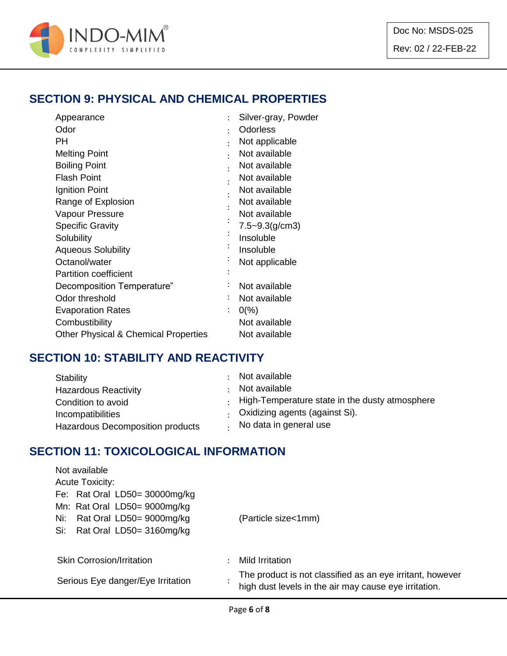

## **SECTION 9: PHYSICAL AND CHEMICAL PROPERTIES**

| Appearance                                      | $\ddot{\cdot}$       | Silver-gray, Powder |
|-------------------------------------------------|----------------------|---------------------|
| Odor                                            | ٠                    | <b>Odorless</b>     |
| PН                                              | ٠                    | Not applicable      |
| <b>Melting Point</b>                            | $\ddot{\phantom{0}}$ | Not available       |
| <b>Boiling Point</b>                            |                      | Not available       |
| <b>Flash Point</b>                              |                      | Not available       |
| Ignition Point                                  |                      | Not available       |
| Range of Explosion                              |                      | Not available       |
| Vapour Pressure                                 |                      | Not available       |
| <b>Specific Gravity</b>                         |                      | $7.5 - 9.3(g/cm3)$  |
| Solubility                                      |                      | Insoluble           |
| <b>Aqueous Solubility</b>                       |                      | Insoluble           |
| Octanol/water                                   |                      | Not applicable      |
| <b>Partition coefficient</b>                    |                      |                     |
| Decomposition Temperature"                      |                      | Not available       |
| Odor threshold                                  |                      | Not available       |
| <b>Evaporation Rates</b>                        |                      | $0\frac{9}{6}$      |
| Combustibility                                  |                      | Not available       |
| <b>Other Physical &amp; Chemical Properties</b> |                      | Not available       |

## **SECTION 10: STABILITY AND REACTIVITY**

| Stability                        | Not available                                  |
|----------------------------------|------------------------------------------------|
| <b>Hazardous Reactivity</b>      | Not available                                  |
| Condition to avoid               | High-Temperature state in the dusty atmosphere |
| Incompatibilities                | Oxidizing agents (against Si).                 |
| Hazardous Decomposition products | No data in general use                         |

## **SECTION 11: TOXICOLOGICAL INFORMATION**

| Not available                     |                                                                                                                    |
|-----------------------------------|--------------------------------------------------------------------------------------------------------------------|
| <b>Acute Toxicity:</b>            |                                                                                                                    |
| Fe: Rat Oral LD50= 30000mg/kg     |                                                                                                                    |
| Mn: Rat Oral LD50= 9000mg/kg      |                                                                                                                    |
| Rat Oral LD50= 9000mg/kg<br>Ni:   | (Particle size<1mm)                                                                                                |
| Rat Oral LD50= 3160mg/kg<br>Si:   |                                                                                                                    |
|                                   |                                                                                                                    |
| <b>Skin Corrosion/Irritation</b>  | Mild Irritation                                                                                                    |
| Serious Eye danger/Eye Irritation | The product is not classified as an eye irritant, however<br>high dust levels in the air may cause eye irritation. |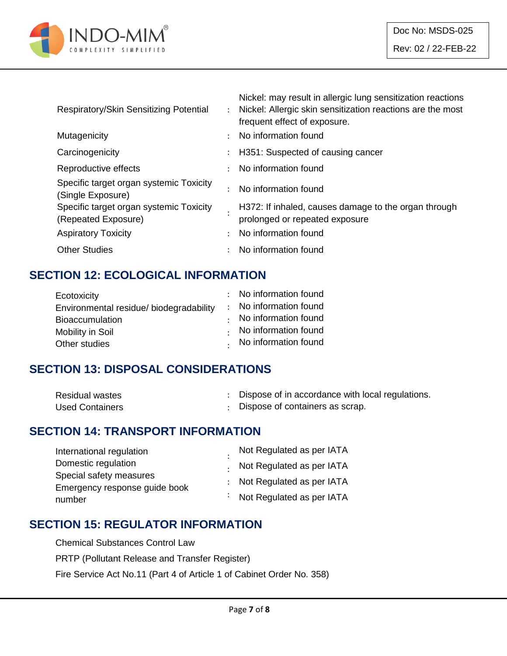

| Respiratory/Skin Sensitizing Potential                         | Nickel: may result in allergic lung sensitization reactions<br>: Nickel: Allergic skin sensitization reactions are the most<br>frequent effect of exposure. |
|----------------------------------------------------------------|-------------------------------------------------------------------------------------------------------------------------------------------------------------|
| Mutagenicity                                                   | : No information found                                                                                                                                      |
| Carcinogenicity                                                | : H351: Suspected of causing cancer                                                                                                                         |
| Reproductive effects                                           | : No information found                                                                                                                                      |
| Specific target organ systemic Toxicity<br>(Single Exposure)   | No information found                                                                                                                                        |
| Specific target organ systemic Toxicity<br>(Repeated Exposure) | H372: If inhaled, causes damage to the organ through<br>prolonged or repeated exposure                                                                      |
| <b>Aspiratory Toxicity</b>                                     | : No information found                                                                                                                                      |
| <b>Other Studies</b>                                           | No information found                                                                                                                                        |
|                                                                |                                                                                                                                                             |

## **SECTION 12: ECOLOGICAL INFORMATION**

| Ecotoxicity                             | : No information found |
|-----------------------------------------|------------------------|
| Environmental residue/ biodegradability | : No information found |
| <b>Bioaccumulation</b>                  | No information found   |
| Mobility in Soil                        | No information found   |
| Other studies                           | . No information found |

#### **SECTION 13: DISPOSAL CONSIDERATIONS**

| <b>Residual wastes</b> | Dispose of in accordance with local regulations. |
|------------------------|--------------------------------------------------|
| <b>Used Containers</b> | : Dispose of containers as scrap.                |

## **SECTION 14: TRANSPORT INFORMATION**

| International regulation      | Not Regulated as per IATA   |
|-------------------------------|-----------------------------|
| Domestic regulation           | . Not Regulated as per IATA |
| Special safety measures       |                             |
| Emergency response guide book | : Not Regulated as per IATA |
| number                        | : Not Regulated as per IATA |

#### **SECTION 15: REGULATOR INFORMATION**

Chemical Substances Control Law

PRTP (Pollutant Release and Transfer Register)

Fire Service Act No.11 (Part 4 of Article 1 of Cabinet Order No. 358)